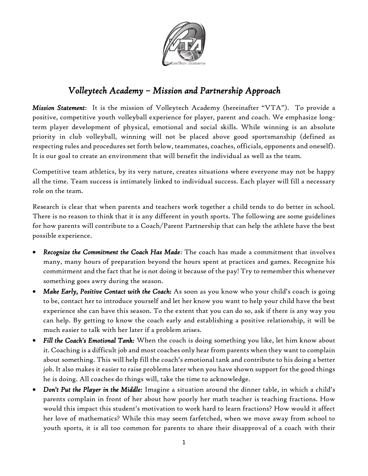

# *Volleytech Academy – Mission and Partnership Approach*

*Mission Statement*: It is the mission of Volleytech Academy (hereinafter "VTA"). To provide a positive, competitive youth volleyball experience for player, parent and coach. We emphasize longterm player development of physical, emotional and social skills. While winning is an absolute priority in club volleyball, winning will not be placed above good sportsmanship (defined as respecting rules and procedures set forth below, teammates, coaches, officials, opponents and oneself). It is our goal to create an environment that will benefit the individual as well as the team.

Competitive team athletics, by its very nature, creates situations where everyone may not be happy all the time. Team success is intimately linked to individual success. Each player will fill a necessary role on the team.

Research is clear that when parents and teachers work together a child tends to do better in school. There is no reason to think that it is any different in youth sports. The following are some guidelines for how parents will contribute to a Coach/Parent Partnership that can help the athlete have the best possible experience.

- *Recognize the Commitment the Coach Has Made*: The coach has made a commitment that involves many, many hours of preparation beyond the hours spent at practices and games. Recognize his commitment and the fact that he is not doing it because of the pay! Try to remember this whenever something goes awry during the season.
- *Make Early, Positive Contact with the Coach:* As soon as you know who your child's coach is going to be, contact her to introduce yourself and let her know you want to help your child have the best experience she can have this season. To the extent that you can do so, ask if there is any way you can help. By getting to know the coach early and establishing a positive relationship, it will be much easier to talk with her later if a problem arises.
- *Fill the Coach's Emotional Tank:* When the coach is doing something you like, let him know about it. Coaching is a difficult job and most coaches only hear from parents when they want to complain about something. This will help fill the coach's emotional tank and contribute to his doing a better job. It also makes it easier to raise problems later when you have shown support for the good things he is doing. All coaches do things will, take the time to acknowledge.
- *Don't Put the Player in the Middle:* Imagine a situation around the dinner table, in which a child's parents complain in front of her about how poorly her math teacher is teaching fractions. How would this impact this student's motivation to work hard to learn fractions? How would it affect her love of mathematics? While this may seem farfetched, when we move away from school to youth sports, it is all too common for parents to share their disapproval of a coach with their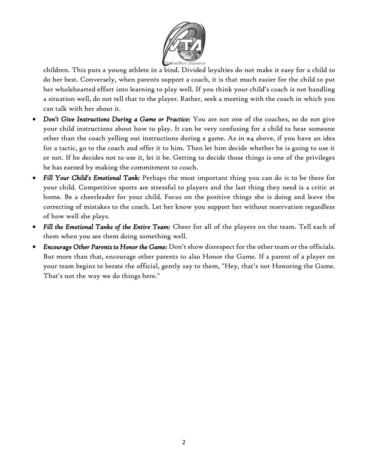

children. This puts a young athlete in a bind. Divided loyalties do not make it easy for a child to do her best. Conversely, when parents support a coach, it is that much easier for the child to put her wholehearted effort into learning to play well. If you think your child's coach is not handling a situation well, do not tell that to the player. Rather, seek a meeting with the coach in which you can talk with her about it.

- *Don't Give Instructions During a Game or Practice:* You are not one of the coaches, so do not give your child instructions about how to play. It can be very confusing for a child to hear someone other than the coach yelling out instructions during a game. As in #4 above, if you have an idea for a tactic, go to the coach and offer it to him. Then let him decide whether he is going to use it or not. If he decides not to use it, let it be. Getting to decide those things is one of the privileges he has earned by making the commitment to coach.
- *Fill Your Child's Emotional Tank:* Perhaps the most important thing you can do is to be there for your child. Competitive sports are stressful to players and the last thing they need is a critic at home. Be a cheerleader for your child. Focus on the positive things she is doing and leave the correcting of mistakes to the coach. Let her know you support her without reservation regardless of how well she plays.
- *Fill the Emotional Tanks of the Entire Team:* Cheer for all of the players on the team. Tell each of them when you see them doing something well.
- *Encourage Other Parents to Honor the Game:* Don't show disrespect for the other team or the officials. But more than that, encourage other parents to also Honor the Game. If a parent of a player on your team begins to berate the official, gently say to them, "Hey, that's not Honoring the Game. That's not the way we do things here."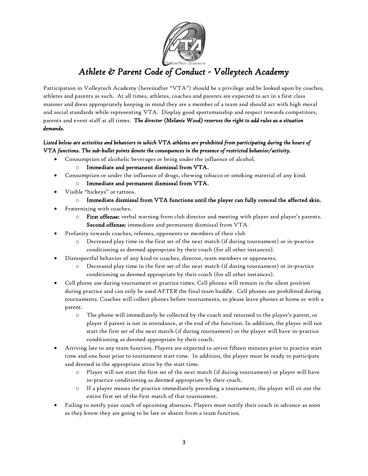

# *Athlete & Parent Code of Conduct - Volleytech Academy*

Participation in Volleytech Academy (hereinafter "VTA") should be a privilege and be looked upon by coaches, athletes and parents as such. At all times, athletes, coaches and parents are expected to act in a first class manner and dress appropriately keeping in mind they are a member of a team and should act with high moral and social standards while representing VTA. Display good sportsmanship and respect towards competitors, parents and event staff at all times. *The director (Melanie Wood) reserves the right to add rules as a situation demands.* 

### *Listed below are activities and behaviors in which VTA athletes are prohibited from participating during the hours of VTA functions. The sub-bullet points denote the consequences in the presence of restricted behavior/activity.*

Consumption of alcoholic beverages or being under the influence of alcohol.

#### o Immediate and permanent dismissal from VTA.

- Consumption or under the influence of drugs, chewing tobacco or smoking material of any kind.
	- o Immediate and permanent dismissal from VTA.
- Visible "hickeys" or tattoos.
	- $\circ$  Immediate dismissal from VTA functions until the player can fully conceal the affected skin.
- Fraternizing with coaches.
	- o First offense: verbal warning from club director and meeting with player and player's parents. Second offense: immediate and permanent dismissal from VTA.
- Profanity towards coaches, referees, opponents or members of their club
	- o Decreased play time in the first set of the next match (if during tournament) or in-practice conditioning as deemed appropriate by their coach (for all other instances).
- Disrespectful behavior of any kind to coaches, director, team members or opponents.
	- o Decreased play time in the first set of the next match (if during tournament) or in-practice conditioning as deemed appropriate by their coach (for all other instances).
- Cell phone use during tournament or practice times. Cell phones will remain in the silent position during practice and can only be used AFTER the final team huddle. Cell phones are prohibited during tournaments. Coaches will collect phones before tournaments, so please leave phones at home or with a parent.
	- o The phone will immediately be collected by the coach and returned to the player's parent, or player if parent is not in attendance, at the end of the function. In addition, the player will not start the first set of the next match (if during tournament) or the player will have in-practice conditioning as deemed appropriate by their coach.
- Arriving late to any team function. Players are expected to arrive fifteen minutes prior to practice start time and one hour prior to tournament start time. In addition, the player must be ready to participate and dressed in the appropriate attire by the start time.
	- o Player will not start the first set of the next match (if during tournament) or player will have in-practice conditioning as deemed appropriate by their coach.
	- o If a player misses the practice immediately preceding a tournament, the player will sit out the entire first set of the first match of that tournament.
- Failing to notify your coach of upcoming absences. Players must notify their coach in advance as soon as they know they are going to be late or absent from a team function.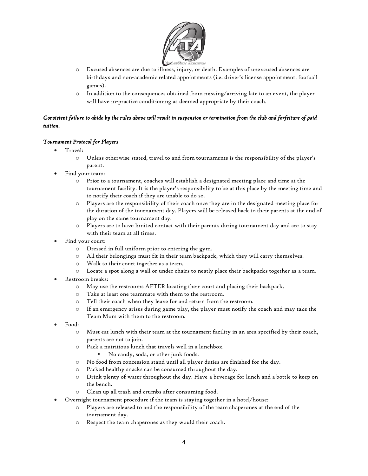

- o Excused absences are due to illness, injury, or death. Examples of unexcused absences are birthdays and non-academic related appointments (i.e. driver's license appointment, football games).
- $\circ$  In addition to the consequences obtained from missing/arriving late to an event, the player will have in-practice conditioning as deemed appropriate by their coach.

#### *Consistent failure to abide by the rules above will result in suspension or termination from the club and forfeiture of paid tuition.*

#### *Tournament Protocol for Players*

- Travel:
	- o Unless otherwise stated, travel to and from tournaments is the responsibility of the player's parent.
- Find your team:
	- o Prior to a tournament, coaches will establish a designated meeting place and time at the tournament facility. It is the player's responsibility to be at this place by the meeting time and to notify their coach if they are unable to do so.
	- o Players are the responsibility of their coach once they are in the designated meeting place for the duration of the tournament day. Players will be released back to their parents at the end of play on the same tournament day.
	- o Players are to have limited contact with their parents during tournament day and are to stay with their team at all times.
- Find your court:
	- o Dressed in full uniform prior to entering the gym.
	- o All their belongings must fit in their team backpack, which they will carry themselves.
	- o Walk to their court together as a team.
	- o Locate a spot along a wall or under chairs to neatly place their backpacks together as a team.
- Restroom breaks:
	- o May use the restrooms AFTER locating their court and placing their backpack.
	- o Take at least one teammate with them to the restroom.
	- o Tell their coach when they leave for and return from the restroom.
	- o If an emergency arises during game play, the player must notify the coach and may take the Team Mom with them to the restroom.
- Food:
	- o Must eat lunch with their team at the tournament facility in an area specified by their coach, parents are not to join.
	- o Pack a nutritious lunch that travels well in a lunchbox.
		- No candy, soda, or other junk foods.
	- o No food from concession stand until all player duties are finished for the day.
	- o Packed healthy snacks can be consumed throughout the day.
	- o Drink plenty of water throughout the day. Have a beverage for lunch and a bottle to keep on the bench.
	- Clean up all trash and crumbs after consuming food.
- Overnight tournament procedure if the team is staying together in a hotel/house:
	- o Players are released to and the responsibility of the team chaperones at the end of the tournament day.
	- o Respect the team chaperones as they would their coach.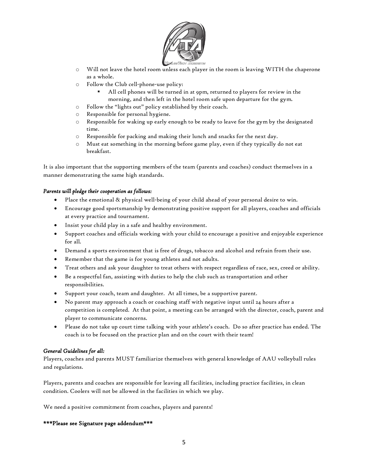

- o Will not leave the hotel room unless each player in the room is leaving WITH the chaperone as a whole.
- o Follow the Club cell-phone-use policy:
	- All cell phones will be turned in at 9pm, returned to players for review in the morning, and then left in the hotel room safe upon departure for the gym.
- o Follow the "lights out" policy established by their coach.
- o Responsible for personal hygiene.
- o Responsible for waking up early enough to be ready to leave for the gym by the designated time.
- o Responsible for packing and making their lunch and snacks for the next day.
- o Must eat something in the morning before game play, even if they typically do not eat breakfast.

It is also important that the supporting members of the team (parents and coaches) conduct themselves in a manner demonstrating the same high standards.

#### *Parents will pledge their cooperation as follows:*

- Place the emotional & physical well-being of your child ahead of your personal desire to win.
- Encourage good sportsmanship by demonstrating positive support for all players, coaches and officials at every practice and tournament.
- Insist your child play in a safe and healthy environment.
- Support coaches and officials working with your child to encourage a positive and enjoyable experience for all.
- Demand a sports environment that is free of drugs, tobacco and alcohol and refrain from their use.
- Remember that the game is for young athletes and not adults.
- Treat others and ask your daughter to treat others with respect regardless of race, sex, creed or ability.
- Be a respectful fan, assisting with duties to help the club such as transportation and other responsibilities.
- Support your coach, team and daughter. At all times, be a supportive parent.
- No parent may approach a coach or coaching staff with negative input until 24 hours after a competition is completed. At that point, a meeting can be arranged with the director, coach, parent and player to communicate concerns.
- Please do not take up court time talking with your athlete's coach. Do so after practice has ended. The coach is to be focused on the practice plan and on the court with their team!

#### *General Guidelines for all:*

Players, coaches and parents MUST familiarize themselves with general knowledge of AAU volleyball rules and regulations.

Players, parents and coaches are responsible for leaving all facilities, including practice facilities, in clean condition. Coolers will not be allowed in the facilities in which we play.

We need a positive commitment from coaches, players and parents!

#### \*\*\*Please see Signature page addendum\*\*\*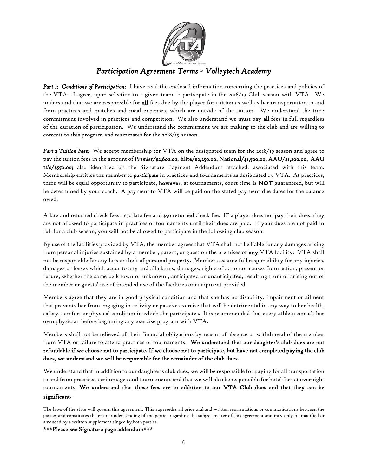

# *Participation Agreement Terms - Volleytech Academy*

*Part 1: Conditions of Participation:* I have read the enclosed information concerning the practices and policies of the VTA. I agree, upon selection to a given team to participate in the 2018/19 Club season with VTA. We understand that we are responsible for all fees due by the player for tuition as well as her transportation to and from practices and matches and meal expenses, which are outside of the tuition. We understand the time commitment involved in practices and competition. We also understand we must pay all fees in full regardless of the duration of participation. We understand the commitment we are making to the club and are willing to commit to this program and teammates for the 2018/19 season.

*Part 2 Tuition Fees:* We accept membership for VTA on the designated team for the 2018/19 season and agree to pay the tuition fees in the amount of *Premier/\$2,600.00,* Elite/\$2,250.00, National/\$1,500.00, AAU/\$1,200.00, AAU 12's/\$550.00; also identified on the Signature Payment Addendum attached, associated with this team. Membership entitles the member to *participate* in practices and tournaments as designated by VTA. At practices, there will be equal opportunity to participate, however, at tournaments, court time is NOT guaranteed, but will be determined by your coach. A payment to VTA will be paid on the stated payment due dates for the balance owed.

A late and returned check fees: \$30 late fee and \$50 returned check fee. IF a player does not pay their dues, they are not allowed to participate in practices or tournaments until their dues are paid. If your dues are not paid in full for a club season, you will not be allowed to participate in the following club season.

By use of the facilities provided by VTA, the member agrees that VTA shall not be liable for any damages arising from personal injuries sustained by a member, parent, or guest on the premises of any VTA facility. VTA shall not be responsible for any loss or theft of personal property. Members assume full responsibility for any injuries, damages or losses which occur to any and all claims, damages, rights of action or causes from action, present or future, whether the same be known or unknown , anticipated or unanticipated, resulting from or arising out of the member or guests' use of intended use of the facilities or equipment provided.

Members agree that they are in good physical condition and that she has no disability, impairment or ailment that prevents her from engaging in activity or passive exercise that will be detrimental in any way to her health, safety, comfort or physical condition in which she participates. It is recommended that every athlete consult her own physician before beginning any exercise program with VTA.

Members shall not be relieved of their financial obligations by reason of absence or withdrawal of the member from VTA or failure to attend practices or tournaments. We understand that our daughter's club dues are not refundable if we choose not to participate. If we choose not to participate, but have not completed paying the club dues, we understand we will be responsible for the remainder of the club dues.

We understand that in addition to our daughter's club dues, we will be responsible for paying for all transportation to and from practices, scrimmages and tournaments and that we will also be responsible for hotel fees at overnight tournaments. We understand that these fees are in addition to our VTA Club dues and that they can be significant**.** 

\*\*\*Please see Signature page addendum\*\*\*

The laws of the state will govern this agreement. This supersedes all prior oral and written reorientations or communications between the parties and constitutes the entire understanding of the parties regarding the subject matter of this agreement and may only be modified or amended by a written supplement singed by both parties.